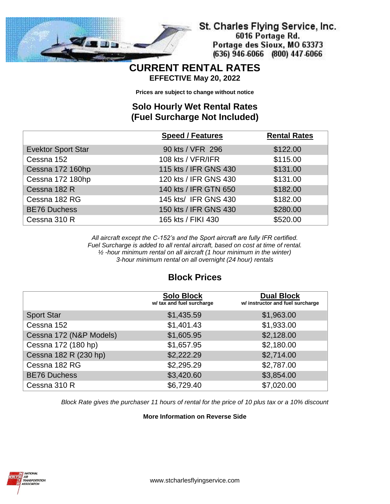

St. Charles Flying Service, Inc. 6016 Portage Rd. Portage des Sioux, MO 63373 (636) 946-6066 (800) 447-6066

#### **CURRENT RENTAL RATES EFFECTIVE May 20, 2022**

**Prices are subject to change without notice**

### **Solo Hourly Wet Rental Rates (Fuel Surcharge Not Included)**

|                           | <b>Speed / Features</b> | <b>Rental Rates</b> |
|---------------------------|-------------------------|---------------------|
| <b>Evektor Sport Star</b> | 90 kts / VFR 296        | \$122.00            |
| Cessna 152                | 108 kts / VFR/IFR       | \$115.00            |
| Cessna 172 160hp          | 115 kts / IFR GNS 430   | \$131.00            |
| Cessna 172 180hp          | 120 kts / IFR GNS 430   | \$131.00            |
| Cessna 182 R              | 140 kts / IFR GTN 650   | \$182.00            |
| Cessna 182 RG             | 145 kts/ IFR GNS 430    | \$182.00            |
| <b>BE76 Duchess</b>       | 150 kts / IFR GNS 430   | \$280.00            |
| Cessna 310 R              | 165 kts / FIKI 430      | \$520.00            |

*All aircraft except the C-152's and the Sport aircraft are fully IFR certified. Fuel Surcharge is added to all rental aircraft, based on cost at time of rental. ½ -hour minimum rental on all aircraft (1 hour minimum in the winter) 3-hour minimum rental on all overnight (24 hour) rentals*

## **Block Prices**

|                         | <b>Solo Block</b><br>w/ tax and fuel surcharge | <b>Dual Block</b><br>w/ instructor and fuel surcharge |
|-------------------------|------------------------------------------------|-------------------------------------------------------|
| <b>Sport Star</b>       | \$1,435.59                                     | \$1,963.00                                            |
| Cessna 152              | \$1,401.43                                     | \$1,933.00                                            |
| Cessna 172 (N&P Models) | \$1,605.95                                     | \$2,128.00                                            |
| Cessna 172 (180 hp)     | \$1,657.95                                     | \$2,180.00                                            |
| Cessna 182 R (230 hp)   | \$2,222.29                                     | \$2,714.00                                            |
| Cessna 182 RG           | \$2,295.29                                     | \$2,787.00                                            |
| <b>BE76 Duchess</b>     | \$3,420.60                                     | \$3,854.00                                            |
| Cessna 310 R            | \$6,729.40                                     | \$7,020.00                                            |

*Block Rate gives the purchaser 11 hours of rental for the price of 10 plus tax or a 10% discount*

#### **More Information on Reverse Side**